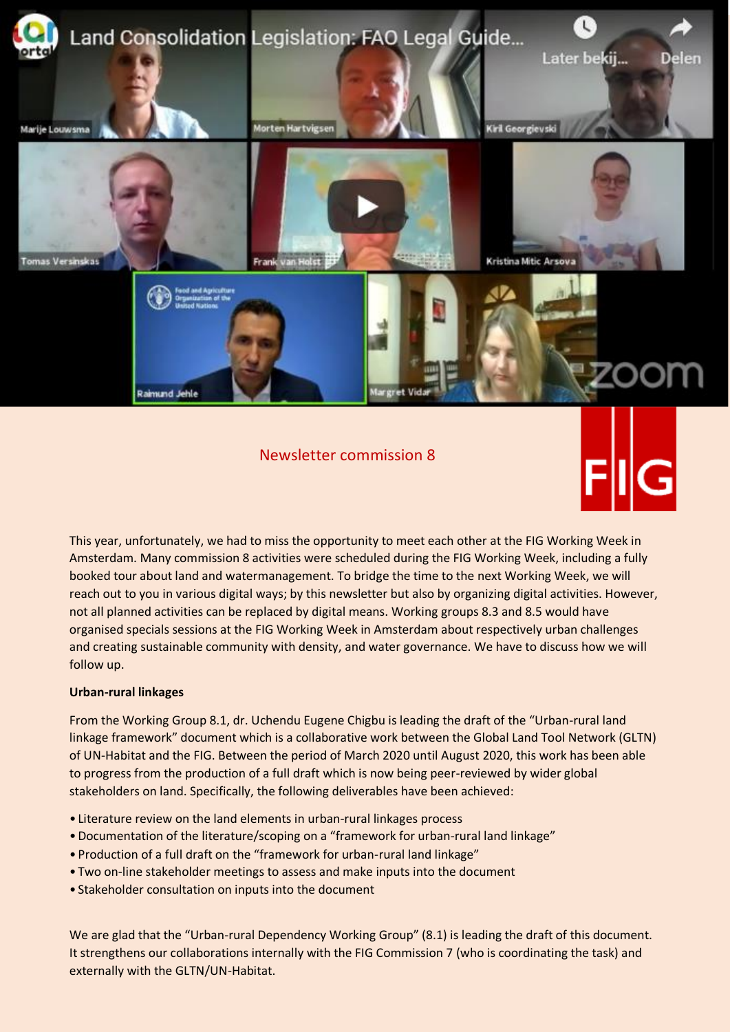

Newsletter commission 8



This year, unfortunately, we had to miss the opportunity to meet each other at the FIG Working Week in Amsterdam. Many commission 8 activities were scheduled during the FIG Working Week, including a fully booked tour about land and watermanagement. To bridge the time to the next Working Week, we will reach out to you in various digital ways; by this newsletter but also by organizing digital activities. However, not all planned activities can be replaced by digital means. Working groups 8.3 and 8.5 would have organised specials sessions at the FIG Working Week in Amsterdam about respectively urban challenges and creating sustainable community with density, and water governance. We have to discuss how we will follow up.

## **Urban-rural linkages**

From the Working Group 8.1, dr. Uchendu Eugene Chigbu is leading the draft of the "Urban-rural land linkage framework" document which is a collaborative work between the Global Land Tool Network (GLTN) of UN-Habitat and the FIG. Between the period of March 2020 until August 2020, this work has been able to progress from the production of a full draft which is now being peer-reviewed by wider global stakeholders on land. Specifically, the following deliverables have been achieved:

- Literature review on the land elements in urban-rural linkages process
- •Documentation of the literature/scoping on a "framework for urban-rural land linkage"
- Production of a full draft on the "framework for urban-rural land linkage"
- Two on-line stakeholder meetings to assess and make inputs into the document
- Stakeholder consultation on inputs into the document

We are glad that the "Urban-rural Dependency Working Group" (8.1) is leading the draft of this document. It strengthens our collaborations internally with the FIG Commission 7 (who is coordinating the task) and externally with the GLTN/UN-Habitat.